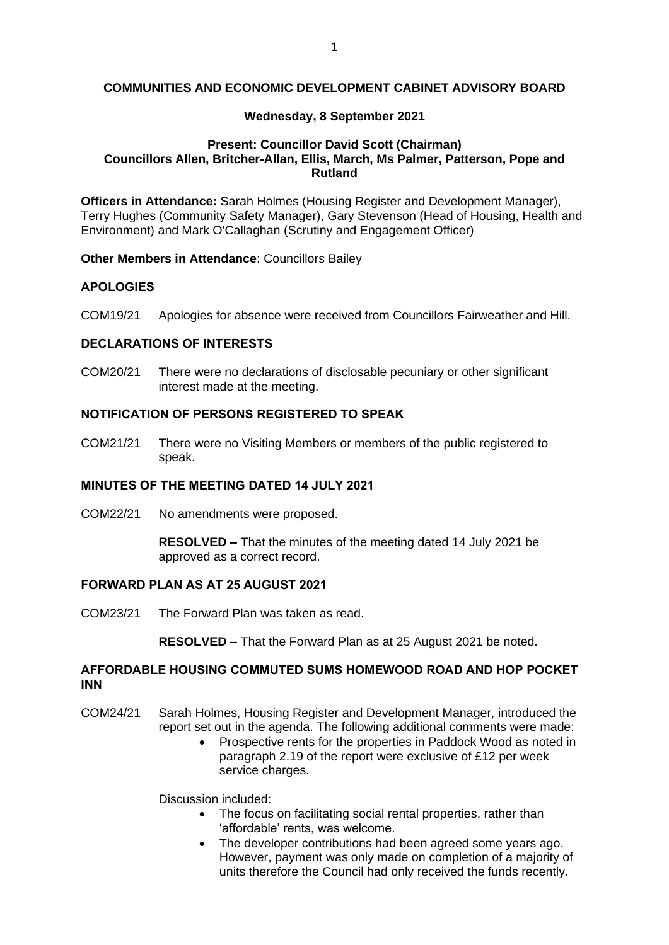#### **COMMUNITIES AND ECONOMIC DEVELOPMENT CABINET ADVISORY BOARD**

#### **Wednesday, 8 September 2021**

### **Present: Councillor David Scott (Chairman) Councillors Allen, Britcher-Allan, Ellis, March, Ms Palmer, Patterson, Pope and Rutland**

**Officers in Attendance:** Sarah Holmes (Housing Register and Development Manager), Terry Hughes (Community Safety Manager), Gary Stevenson (Head of Housing, Health and Environment) and Mark O'Callaghan (Scrutiny and Engagement Officer)

**Other Members in Attendance**: Councillors Bailey

### **APOLOGIES**

COM19/21 Apologies for absence were received from Councillors Fairweather and Hill.

#### **DECLARATIONS OF INTERESTS**

COM20/21 There were no declarations of disclosable pecuniary or other significant interest made at the meeting.

### **NOTIFICATION OF PERSONS REGISTERED TO SPEAK**

COM21/21 There were no Visiting Members or members of the public registered to speak.

#### **MINUTES OF THE MEETING DATED 14 JULY 2021**

COM22/21 No amendments were proposed.

**RESOLVED –** That the minutes of the meeting dated 14 July 2021 be approved as a correct record.

#### **FORWARD PLAN AS AT 25 AUGUST 2021**

COM23/21 The Forward Plan was taken as read.

**RESOLVED –** That the Forward Plan as at 25 August 2021 be noted.

### **AFFORDABLE HOUSING COMMUTED SUMS HOMEWOOD ROAD AND HOP POCKET INN**

- COM24/21 Sarah Holmes, Housing Register and Development Manager, introduced the report set out in the agenda. The following additional comments were made:
	- Prospective rents for the properties in Paddock Wood as noted in paragraph 2.19 of the report were exclusive of £12 per week service charges.

Discussion included:

- The focus on facilitating social rental properties, rather than 'affordable' rents, was welcome.
- The developer contributions had been agreed some years ago. However, payment was only made on completion of a majority of units therefore the Council had only received the funds recently.